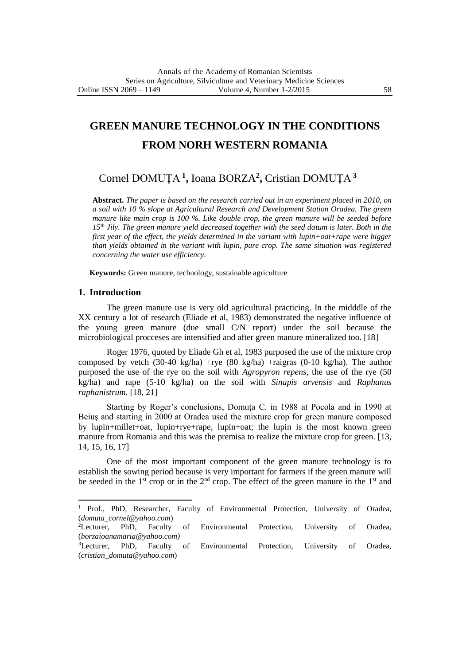# **GREEN MANURE TECHNOLOGY IN THE CONDITIONS FROM NORH WESTERN ROMANIA**

# Cornel DOMUŢA **<sup>1</sup> ,** Ioana BORZA**<sup>2</sup> ,** Cristian DOMUŢA **<sup>3</sup>**

**Abstract.** *The paper is based on the research carried out in an experiment placed in 2010, on a soil with 10 % slope at Agricultural Research and Development Station Oradea. The green manure like main crop is 100 %. Like double crop, the green manure will be seeded before 15th Jily. The green manure yield decreased together with the seed datum is later. Both in the first year of the effect, the yields determined in the variant with lupin+oat+rape were bigger than yields obtained in the variant with lupin, pure crop. The same situation was registered concerning the water use efficiency.*

**Keywords:** Green manure, technology, sustainable agriculture

# **1. Introduction**

 $\overline{a}$ 

The green manure use is very old agricultural practicing. In the midddle of the XX century a lot of research (Eliade et al, 1983) demonstrated the negative influence of the young green manure (due small C/N report) under the soil because the microbiological procceses are intensified and after green manure mineralized too. [18]

Roger 1976, quoted by Eliade Gh et al, 1983 purposed the use of the mixture crop composed by vetch (30-40 kg/ha) +rye (80 kg/ha) +raigras (0-10 kg/ha). The author purposed the use of the rye on the soil with *Agropyron repens*, the use of the rye (50 kg/ha) and rape (5-10 kg/ha) on the soil with *Sinapis arvensis* and *Raphanus raphanistrum.* [18, 21]

Starting by Roger's conclusions, Domuţa C. in 1988 at Pocola and in 1990 at Beiuş and starting in 2000 at Oradea used the mixture crop for green manure composed by lupin+millet+oat, lupin+rye+rape, lupin+oat; the lupin is the most known green manure from Romania and this was the premisa to realize the mixture crop for green. [13, 14, 15, 16, 17]

One of the most important component of the green manure technology is to establish the sowing period because is very important for farmers if the green manure will be seeded in the  $1<sup>st</sup>$  crop or in the  $2<sup>nd</sup>$  crop. The effect of the green manure in the  $1<sup>st</sup>$  and

<sup>&</sup>lt;sup>1</sup> Prof., PhD, Researcher, Faculty of Environmental Protection, University of Oradea, (*domuta\_cornel@yahoo.com*)

<sup>&</sup>lt;sup>2</sup>Lecturer, PhD, Faculty of Environmental Protection, University of Oradea, (*borzaioanamaria@yahoo.com)*

<sup>&</sup>lt;sup>3</sup>Lecturer, PhD, Faculty of Environmental Protection, University of Oradea, (*cristian\_domuta@yahoo.com*)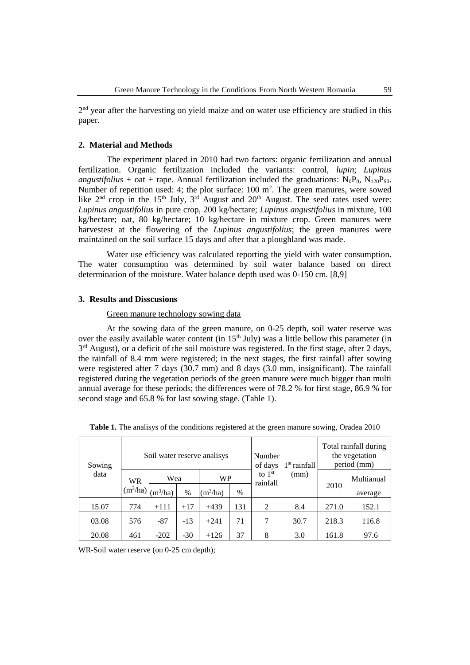2<sup>nd</sup> year after the harvesting on yield maize and on water use efficiency are studied in this paper.

### **2. Material and Methods**

The experiment placed in 2010 had two factors: organic fertilization and annual fertilization. Organic fertilization included the variants: control, *lupin*; *Lupinus angustifolius* + oat + rape. Annual fertilization included the graduations:  $N_0P_0$ ,  $N_{120}P_{90}$ . Number of repetition used: 4; the plot surface:  $100 \text{ m}^2$ . The green manures, were sowed like  $2<sup>nd</sup>$  crop in the 15<sup>th</sup> July,  $3<sup>rd</sup>$  August and  $20<sup>th</sup>$  August. The seed rates used were: *Lupinus angustifolius* in pure crop, 200 kg/hectare; *Lupinus angustifolius* in mixture, 100 kg/hectare; oat, 80 kg/hectare; 10 kg/hectare in mixture crop. Green manures were harvestest at the flowering of the *Lupinus angustifolius*; the green manures were maintained on the soil surface 15 days and after that a ploughland was made.

Water use efficiency was calculated reporting the yield with water consumption. The water consumption was determined by soil water balance based on direct determination of the moisture. Water balance depth used was 0-150 cm. [8,9]

#### **3. Results and Disscusions**

#### Green manure technology sowing data

At the sowing data of the green manure, on 0-25 depth, soil water reserve was over the easily available water content (in  $15<sup>th</sup>$  July) was a little bellow this parameter (in  $3<sup>rd</sup>$  August), or a deficit of the soil moisture was registered. In the first stage, after 2 days, the rainfall of 8.4 mm were registered; in the next stages, the first rainfall after sowing were registered after 7 days (30.7 mm) and 8 days (3.0 mm, insignificant). The rainfall registered during the vegetation periods of the green manure were much bigger than multi annual average for these periods; the differences were of 78.2 % for first stage, 86.9 % for second stage and 65.8 % for last sowing stage. (Table 1).

| Sowing<br>data |                         |            |       | Soil water reserve analisys |      | Number<br>of days    | $1st$ rainfall | Total rainfall during<br>the vegetation<br>period (mm) |            |
|----------------|-------------------------|------------|-------|-----------------------------|------|----------------------|----------------|--------------------------------------------------------|------------|
|                | <b>WR</b><br>$(m^3/ha)$ | Wea        |       | <b>WP</b>                   |      | to $1st$<br>rainfall | (mm)           |                                                        | Multianual |
|                |                         | $(m^3/ha)$ | $\%$  | (m <sup>3</sup> /ha)        | $\%$ |                      |                | 2010                                                   | average    |
| 15.07          | 774                     | $+111$     | $+17$ | $+439$                      | 131  | 2                    | 8.4            | 271.0                                                  | 152.1      |
| 03.08          | 576                     | $-87$      | $-13$ | $+241$                      | 71   | 7                    | 30.7           | 218.3                                                  | 116.8      |
| 20.08          | 461                     | $-202$     | $-30$ | $+126$                      | 37   | 8                    | 3.0            | 161.8                                                  | 97.6       |

Table 1. The analisys of the conditions registered at the green manure sowing, Oradea 2010

WR-Soil water reserve (on 0-25 cm depth);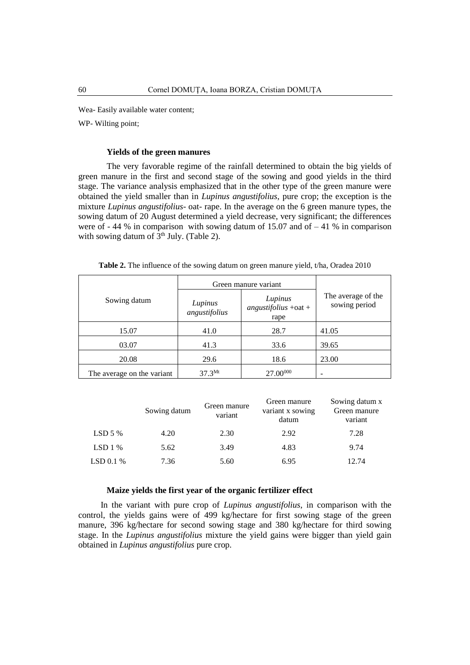Wea- Easily available water content;

WP- Wilting point;

#### **Yields of the green manures**

The very favorable regime of the rainfall determined to obtain the big yields of green manure in the first and second stage of the sowing and good yields in the third stage. The variance analysis emphasized that in the other type of the green manure were obtained the yield smaller than in *Lupinus angustifolius*, pure crop; the exception is the mixture *Lupinus angustifolius*- oat- rape. In the average on the 6 green manure types, the sowing datum of 20 August determined a yield decrease, very significant; the differences were of  $-44\%$  in comparison with sowing datum of 15.07 and of  $-41\%$  in comparison with sowing datum of  $3<sup>th</sup>$  July. (Table 2).

Table 2. The influence of the sowing datum on green manure yield, t/ha, Oradea 2010

|                            | Green manure variant     |                                            |                                     |  |
|----------------------------|--------------------------|--------------------------------------------|-------------------------------------|--|
| Sowing datum               | Lupinus<br>angustifolius | Lupinus<br>$angustifolius + oat +$<br>rape | The average of the<br>sowing period |  |
| 15.07                      | 41.0                     | 28.7                                       | 41.05                               |  |
| 03.07                      | 41.3                     | 33.6                                       | 39.65                               |  |
| 20.08                      | 29.6                     | 18.6                                       | 23.00                               |  |
| The average on the variant | $37.3^{\rm Mt}$          | 27.00000                                   |                                     |  |

|           | Sowing datum | Green manure<br>variant | Green manure<br>variant x sowing<br>datum | Sowing datum x<br>Green manure<br>variant |  |
|-----------|--------------|-------------------------|-------------------------------------------|-------------------------------------------|--|
| $LSD$ 5 % | 4.20         | 2.30                    | 2.92                                      | 7.28                                      |  |
| $LSD$ 1 % | 5.62         | 3.49                    | 4.83                                      | 9.74                                      |  |
| LSD 0.1 % | 7.36         | 5.60                    | 6.95                                      | 12.74                                     |  |

# **Maize yields the first year of the organic fertilizer effect**

In the variant with pure crop of *Lupinus angustifolius*, in comparison with the control, the yields gains were of 499 kg/hectare for first sowing stage of the green manure, 396 kg/hectare for second sowing stage and 380 kg/hectare for third sowing stage. In the *Lupinus angustifolius* mixture the yield gains were bigger than yield gain obtained in *Lupinus angustifolius* pure crop.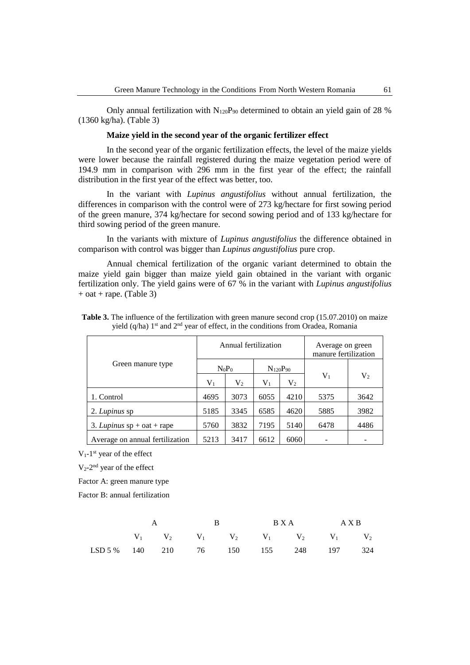Only annual fertilization with  $N_{120}P_{90}$  determined to obtain an yield gain of 28 % (1360 kg/ha). (Table 3)

### **Maize yield in the second year of the organic fertilizer effect**

In the second year of the organic fertilization effects, the level of the maize yields were lower because the rainfall registered during the maize vegetation period were of 194.9 mm in comparison with 296 mm in the first year of the effect; the rainfall distribution in the first year of the effect was better, too.

In the variant with *Lupinus angustifolius* without annual fertilization, the differences in comparison with the control were of 273 kg/hectare for first sowing period of the green manure, 374 kg/hectare for second sowing period and of 133 kg/hectare for third sowing period of the green manure.

In the variants with mixture of *Lupinus angustifolius* the difference obtained in comparison with control was bigger than *Lupinus angustifolius* pure crop.

Annual chemical fertilization of the organic variant determined to obtain the maize yield gain bigger than maize yield gain obtained in the variant with organic fertilization only. The yield gains were of 67 % in the variant with *Lupinus angustifolius*  $+$  oat  $+$  rape. (Table 3)

|                                     | Annual fertilization |           |                 |                | Average on green<br>manure fertilization |           |  |
|-------------------------------------|----------------------|-----------|-----------------|----------------|------------------------------------------|-----------|--|
| Green manure type                   | $N_0P_0$             |           | $N_{120}P_{90}$ |                |                                          |           |  |
|                                     | $\rm V_1$            | $\rm V_2$ | $\rm V_1$       | V <sub>2</sub> | $\rm V_1$                                | $\rm V_2$ |  |
| 1. Control                          | 4695                 | 3073      | 6055            | 4210           | 5375                                     | 3642      |  |
| 2. Lupinus sp                       | 5185                 | 3345      | 6585            | 4620           | 5885                                     | 3982      |  |
| 3. <i>Lupinus</i> $sp + oat + rape$ | 5760                 | 3832      | 7195            | 5140           | 6478                                     | 4486      |  |
| Average on annual fertilization     | 5213                 | 3417      | 6612            | 6060           |                                          |           |  |

**Table 3.** The influence of the fertilization with green manure second crop (15.07.2010) on maize yield  $(q/ha)$  1<sup>st</sup> and  $2<sup>nd</sup>$  year of effect, in the conditions from Oradea, Romania

 $V_1$ -1<sup>st</sup> year of the effect

 $V_2$ -2<sup>nd</sup> year of the effect

Factor A: green manure type

Factor B: annual fertilization

|                                        |  |  | A B BXA AXB |  |  |  |                                                 |  |
|----------------------------------------|--|--|-------------|--|--|--|-------------------------------------------------|--|
|                                        |  |  |             |  |  |  | $V_1$ $V_2$ $V_1$ $V_2$ $V_1$ $V_2$ $V_1$ $V_2$ |  |
| LSD 5 % 140 210 76 150 155 248 197 324 |  |  |             |  |  |  |                                                 |  |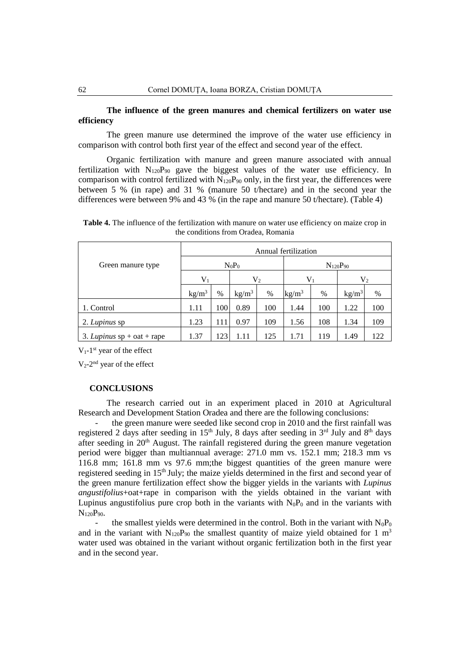# **The influence of the green manures and chemical fertilizers on water use efficiency**

The green manure use determined the improve of the water use efficiency in comparison with control both first year of the effect and second year of the effect.

Organic fertilization with manure and green manure associated with annual fertilization with  $N_{120}P_{90}$  gave the biggest values of the water use efficiency. In comparison with control fertilized with  $N_{120}P_{90}$  only, in the first year, the differences were between 5 % (in rape) and 31 % (manure 50 t/hectare) and in the second year the differences were between 9% and 43 % (in the rape and manure 50 t/hectare). (Table 4)

**Table 4.** The influence of the fertilization with manure on water use efficiency on maize crop in the conditions from Oradea, Romania

|                                     | Annual fertilization |      |                 |      |                 |      |                   |      |
|-------------------------------------|----------------------|------|-----------------|------|-----------------|------|-------------------|------|
| Green manure type                   |                      |      | $N_0P_0$        |      | $N_{120}P_{90}$ |      |                   |      |
|                                     | $V_1$                |      | $\rm V_2$       |      | $\rm V_1$       |      | V <sub>2</sub>    |      |
|                                     | kg/m <sup>3</sup>    | $\%$ | $\text{kg/m}^3$ | $\%$ | $\text{kg/m}^3$ | $\%$ | kg/m <sup>3</sup> | $\%$ |
| 1. Control                          | 1.11                 | 100  | 0.89            | 100  | 1.44            | 100  | 1.22              | 100  |
| 2. Lupinus sp                       | 1.23                 | 111  | 0.97            | 109  | 1.56            | 108  | 1.34              | 109  |
| 3. <i>Lupinus</i> $sp + oat + rape$ | 1.37                 | 123  | 1.11            | 125  | 1.71            | 119  | 1.49              | 122  |

V<sub>1</sub>-1<sup>st</sup> year of the effect

 $V_2$ -2<sup>nd</sup> year of the effect

# **CONCLUSIONS**

The research carried out in an experiment placed in 2010 at Agricultural Research and Development Station Oradea and there are the following conclusions:

the green manure were seeded like second crop in 2010 and the first rainfall was registered 2 days after seeding in  $15<sup>th</sup>$  July, 8 days after seeding in  $3<sup>rd</sup>$  July and  $8<sup>th</sup>$  days after seeding in 20<sup>th</sup> August. The rainfall registered during the green manure vegetation period were bigger than multiannual average: 271.0 mm vs. 152.1 mm; 218.3 mm vs 116.8 mm; 161.8 mm vs 97.6 mm;the biggest quantities of the green manure were registered seeding in 15th July; the maize yields determined in the first and second year of the green manure fertilization effect show the bigger yields in the variants with *Lupinus angustifolius*+oat+rape in comparison with the yields obtained in the variant with Lupinus angustifolius pure crop both in the variants with  $N_0P_0$  and in the variants with N<sub>120</sub>P<sub>90</sub>.

the smallest yields were determined in the control. Both in the variant with  $N_0P_0$ and in the variant with  $N_{120}P_{90}$  the smallest quantity of maize yield obtained for 1 m<sup>3</sup> water used was obtained in the variant without organic fertilization both in the first year and in the second year.